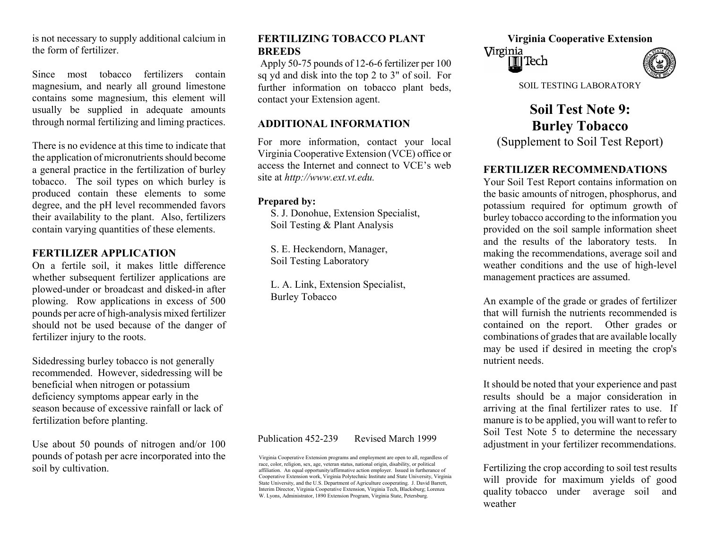is not necessary to supply additional calcium in **FERTILIZING TOBACCO PLANT** Virginia Cooperative Extension the form of fertilizer.

Since most tobacco fertilizers contain magnesium, and nearly all ground limestone contains some magnesium, this element will usually be supplied in adequate amounts through norm al fertilizing and liming practices.

There is no evidence at this time to indicate that the application of micronutrients should become a general practice in the fertilization of burley tobacco. The soil types on which burley is produced contain these elements to some degree, and the pH level recommended favors their availability to the plant. Also, fertilizers contain varying quantities of these elements.

 Soil Testing Laboratory On a fertile soil, it m akes little difference whether subsequent fertilizer applications are plowed-under or broadcast and disked-in after plowing. Row applications in excess of 500 pounds per acre of high-analysis mixed fertilizer should not be used because of the danger of fertilizer injury to the roots.

Sidedressing burley tobacco is not generally nutrient needs. recommended. However, sidedressing will be beneficial when nitrogen or potassium deficiency symptoms appear early in the season because of excessive rainfall or lack of fertilization before planting.

Use about 50 pounds of nitrogen and/or 100 pounds of potash per acre incorporated into the soil by cultivation.<br>affiliation. An equal opportunity/affirmative action employer. Issued in furtherance of **Fertilizing the crop according to soil test results** 

# **FERTILIZING TOBACCO PLANT BREEDS**

Ap ply 50-75 pounds of 12-6-6 fertilizer per 100 sq yd and disk into the top 2 to 3" of soil. For further information on tobacco plant beds, contact your Extension agent.

### **ADDITIONAL INFORMATION**

For mVirginia Cooperative Extension (VCE) office or access the Internet and connect to VCE's web site at *[http://w](http://www.ext.vt.edu/) w w.ext.vt.e du.*

### **Prepared by:**

S. J. Donohue, Extension Specialist, Soil Testing & Plant Analysis

**FERTILIZER APPLICATION** S. E. Heckendorn, Manager,<br> **Soll Testing Laboratory Soll Testing Laboratory** 

L. A. Link, Extension Specialist,

Virginia Cooperative Extension programs and employment are open to all, regardless of race, color, religion, sex, age, veteran status, national origin, disability, or political affiliation. An equal opportunity/affirmative action employer. Issued in furtherance of Cooperative Extension work, Virginia Polytechnic Institute and State University, Virginia State University, and the U.S. Department of Agriculture cooperating. J. David Barrett, Interim Director, Virginia Cooperative Extension, Virginia Tech, Blacksburg; Lorenza W. Lyons, Administrator, 1890 Extension Program, Virginia State, Petersburg.

Virginia IIII Tech

SOIL TESTING LABORATORY

**Soil Test Note 9: Burley Tobacco**  (Supplement to Soil Test Report)

## **FERTILIZER RECOMMENDATIONS**

Your Soil Test Report contains information on the basic amounts of nitrogen, phosphorus, and potassium required for optimum growth of burley tobacco according to the information you provided on the soil sample information sheet and the results of the laboratory tests. In m aking the recommendations, average soil and weather conditions and the use of high-level management practices are assumed.

Burley Tobacco An example of the grade or grades of fertilizer that will furnish the nutrients recommended is contained on the report. Other grades or co mbin atio ns of grades that are available locally m ay be used if desired in meeting the crop's

It should be noted that your experience and past results should be a m ajor consideration in arriving at the final fertilizer rates to use. If manure is to be applied, you will want to re fer to Soil Test Note 5 to determine the necessary Publication 452-239 Revised March 1999<br>adjustment in your fertilizer recommendations.

> will provide for m aximu m yields of good quality tobacco under average soil and weather